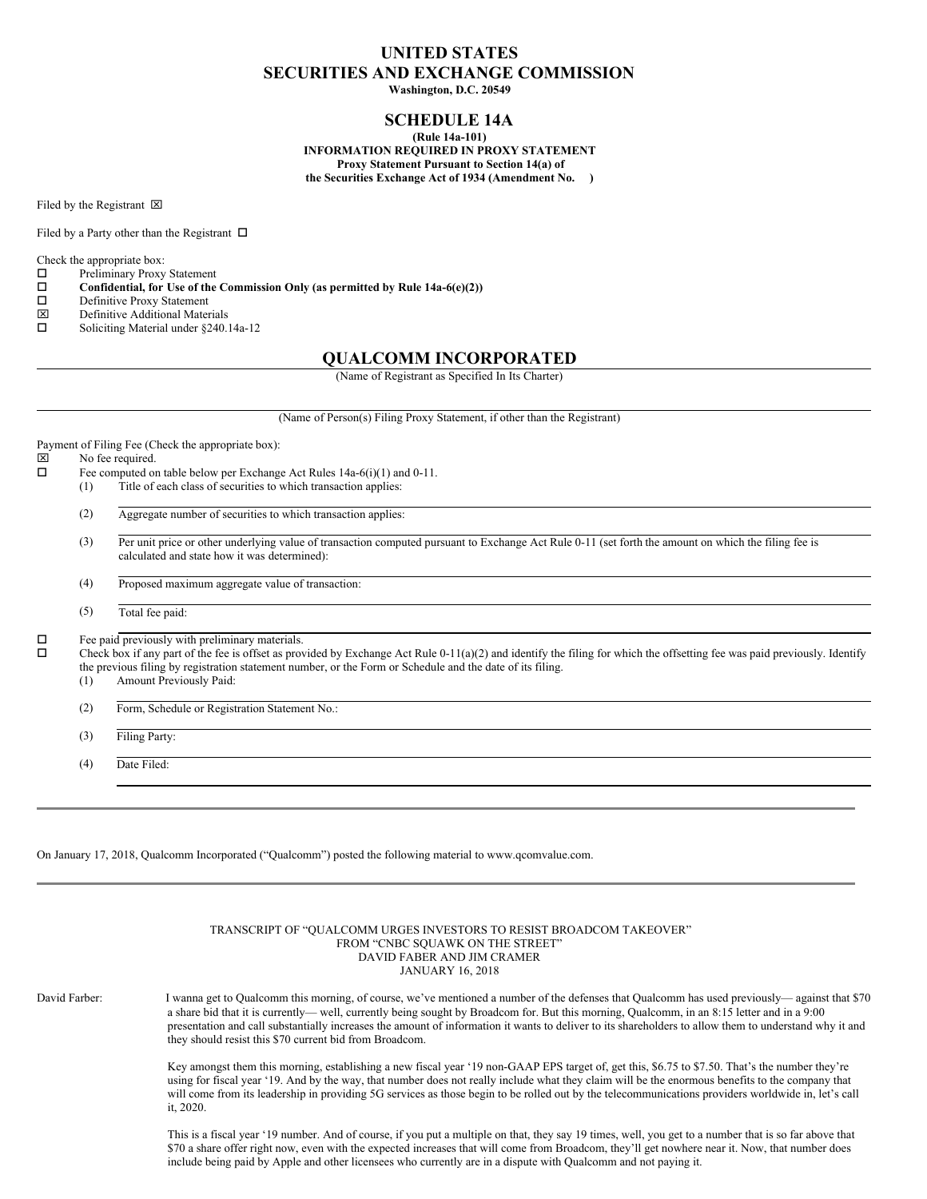# **UNITED STATES SECURITIES AND EXCHANGE COMMISSION**

**Washington, D.C. 20549**

## **SCHEDULE 14A**

**(Rule 14a-101) INFORMATION REQUIRED IN PROXY STATEMENT Proxy Statement Pursuant to Section 14(a) of the Securities Exchange Act of 1934 (Amendment No. )**

Filed by the Registrant  $\boxtimes$ 

Filed by a Party other than the Registrant  $\Box$ 

Check the appropriate box:<br> $\Box$  Preliminary Proxy

- $\square$  Preliminary Proxy Statement<br> $\square$  Confidential, for Use of the
- $\square$  Confidential, for Use of the Commission Only (as permitted by Rule 14a-6(e)(2))<br> $\square$  Definitive Proxy Statement
- $\square$  Definitive Proxy Statement<br> $\square$  Definitive Additional Mater
- 
- $\boxtimes$  Definitive Additional Materials<br>  $\square$  Soliciting Material under §240. Soliciting Material under §240.14a-12

### **QUALCOMM INCORPORATED**

(Name of Registrant as Specified In Its Charter)

(Name of Person(s) Filing Proxy Statement, if other than the Registrant)

Payment of Filing Fee (Check the appropriate box):

- $\boxtimes$  No fee required.<br> $\Box$  Fee computed or
	- Fee computed on table below per Exchange Act Rules 14a-6(i)(1) and 0-11.
	- (1) Title of each class of securities to which transaction applies:
		- (2) Aggregate number of securities to which transaction applies:
		- (3) Per unit price or other underlying value of transaction computed pursuant to Exchange Act Rule 0-11 (set forth the amount on which the filing fee is calculated and state how it was determined):
		- (4) Proposed maximum aggregate value of transaction:
		- (5) Total fee paid:

 $\square$  Fee paid previously with preliminary materials.<br> $\square$  Check box if any part of the fee is offset as pro-

o Check box if any part of the fee is offset as provided by Exchange Act Rule 0-11(a)(2) and identify the filing for which the offsetting fee was paid previously. Identify the previous filing by registration statement number, or the Form or Schedule and the date of its filing.

- (1) Amount Previously Paid:
- (2) Form, Schedule or Registration Statement No.:
- (3) Filing Party:

(4) Date Filed:

On January 17, 2018, Qualcomm Incorporated ("Qualcomm") posted the following material to www.qcomvalue.com.

|               | TRANSCRIPT OF "QUALCOMM URGES INVESTORS TO RESIST BROADCOM TAKEOVER"<br>FROM "CNBC SOUAWK ON THE STREET"<br>DAVID FABER AND JIM CRAMER<br><b>JANUARY 16, 2018</b>                                                                                                                                                                                                                                                                                                                                                |
|---------------|------------------------------------------------------------------------------------------------------------------------------------------------------------------------------------------------------------------------------------------------------------------------------------------------------------------------------------------------------------------------------------------------------------------------------------------------------------------------------------------------------------------|
| David Farber: | I wanna get to Qualcomm this morning, of course, we've mentioned a number of the defenses that Qualcomm has used previously—against that \$70<br>a share bid that it is currently—well, currently being sought by Broadcom for. But this morning, Qualcomm, in an 8:15 letter and in a 9:00<br>presentation and call substantially increases the amount of information it wants to deliver to its shareholders to allow them to understand why it and<br>they should resist this \$70 current bid from Broadcom. |
|               | Key amongst them this morning, establishing a new fiscal year '19 non-GAAP EPS target of, get this, \$6.75 to \$7.50. That's the number they're<br>using for fiscal year '19. And by the way, that number does not really include what they claim will be the enormous benefits to the company that<br>will come from its leadership in providing 5G services as those begin to be rolled out by the telecommunications providers worldwide in, let's call<br>it. 2020.                                          |
|               | This is a fiscal year '19 number. And of course, if you put a multiple on that, they say 19 times, well, you get to a number that is so far above that<br>\$70 a share offer right now, even with the expected increases that will come from Broadcom, they'll get nowhere near it. Now, that number does<br>include being paid by Apple and other licensees who currently are in a dispute with Qualcomm and not paying it.                                                                                     |